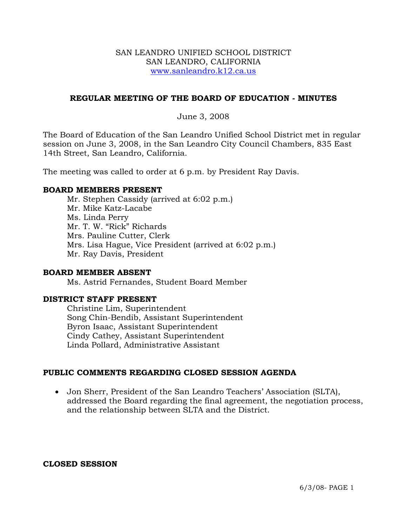### SAN LEANDRO UNIFIED SCHOOL DISTRICT SAN LEANDRO, CALIFORNIA www.sanleandro.k12.ca.us

### **REGULAR MEETING OF THE BOARD OF EDUCATION - MINUTES**

### June 3, 2008

The Board of Education of the San Leandro Unified School District met in regular session on June 3, 2008, in the San Leandro City Council Chambers, 835 East 14th Street, San Leandro, California.

The meeting was called to order at 6 p.m. by President Ray Davis.

### **BOARD MEMBERS PRESENT**

Mr. Stephen Cassidy (arrived at 6:02 p.m.) Mr. Mike Katz-Lacabe Ms. Linda Perry Mr. T. W. "Rick" Richards Mrs. Pauline Cutter, Clerk Mrs. Lisa Hague, Vice President (arrived at 6:02 p.m.) Mr. Ray Davis, President

### **BOARD MEMBER ABSENT**

Ms. Astrid Fernandes, Student Board Member

### **DISTRICT STAFF PRESENT**

Christine Lim, Superintendent Song Chin-Bendib, Assistant Superintendent Byron Isaac, Assistant Superintendent Cindy Cathey, Assistant Superintendent Linda Pollard, Administrative Assistant

### **PUBLIC COMMENTS REGARDING CLOSED SESSION AGENDA**

• Jon Sherr, President of the San Leandro Teachers' Association (SLTA), addressed the Board regarding the final agreement, the negotiation process, and the relationship between SLTA and the District.

**CLOSED SESSION**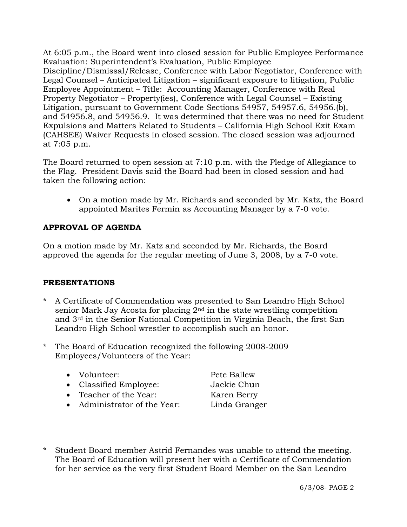At 6:05 p.m., the Board went into closed session for Public Employee Performance Evaluation: Superintendent's Evaluation, Public Employee Discipline/Dismissal/Release, Conference with Labor Negotiator, Conference with Legal Counsel – Anticipated Litigation – significant exposure to litigation, Public Employee Appointment – Title: Accounting Manager, Conference with Real Property Negotiator – Property(ies), Conference with Legal Counsel – Existing Litigation, pursuant to Government Code Sections 54957, 54957.6, 54956.(b), and 54956.8, and 54956.9. It was determined that there was no need for Student Expulsions and Matters Related to Students – California High School Exit Exam (CAHSEE) Waiver Requests in closed session. The closed session was adjourned at 7:05 p.m.

The Board returned to open session at 7:10 p.m. with the Pledge of Allegiance to the Flag. President Davis said the Board had been in closed session and had taken the following action:

• On a motion made by Mr. Richards and seconded by Mr. Katz, the Board appointed Marites Fermin as Accounting Manager by a 7-0 vote.

# **APPROVAL OF AGENDA**

On a motion made by Mr. Katz and seconded by Mr. Richards, the Board approved the agenda for the regular meeting of June 3, 2008, by a 7-0 vote.

# **PRESENTATIONS**

- A Certificate of Commendation was presented to San Leandro High School senior Mark Jay Acosta for placing 2nd in the state wrestling competition and 3rd in the Senior National Competition in Virginia Beach, the first San Leandro High School wrestler to accomplish such an honor.
- \* The Board of Education recognized the following 2008-2009 Employees/Volunteers of the Year:
	- Volunteer: Pete Ballew
	- Classified Employee: Jackie Chun
	- Teacher of the Year: Karen Berry
	- Administrator of the Year: Linda Granger

\* Student Board member Astrid Fernandes was unable to attend the meeting. The Board of Education will present her with a Certificate of Commendation for her service as the very first Student Board Member on the San Leandro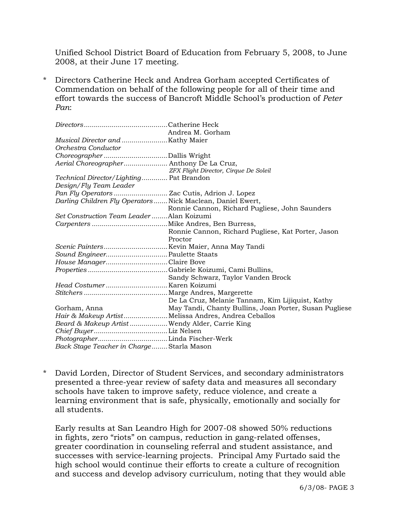Unified School District Board of Education from February 5, 2008, to June 2008, at their June 17 meeting.

\* Directors Catherine Heck and Andrea Gorham accepted Certificates of Commendation on behalf of the following people for all of their time and effort towards the success of Bancroft Middle School's production of *Peter Pan*:

|                                           | Andrea M. Gorham                                            |
|-------------------------------------------|-------------------------------------------------------------|
|                                           |                                                             |
| Orchestra Conductor                       |                                                             |
|                                           |                                                             |
|                                           | Aerial Choreographer Anthony De La Cruz,                    |
|                                           | ZFX Flight Director, Cirque De Soleil                       |
| Technical Director/Lighting Pat Brandon   |                                                             |
| Design/Fly Team Leader                    |                                                             |
|                                           |                                                             |
|                                           | Darling Children Fly Operators  Nick Maclean, Daniel Ewert, |
|                                           | Ronnie Cannon, Richard Pugliese, John Saunders              |
| Set Construction Team Leader Alan Koizumi |                                                             |
|                                           |                                                             |
|                                           | Ronnie Cannon, Richard Pugliese, Kat Porter, Jason          |
|                                           | Proctor                                                     |
|                                           | Scenic PaintersKevin Maier, Anna May Tandi                  |
| Sound Engineer Paulette Staats            |                                                             |
| House ManagerClaire Bove                  |                                                             |
|                                           |                                                             |
|                                           | Sandy Schwarz, Taylor Vanden Brock                          |
|                                           |                                                             |
|                                           |                                                             |
|                                           | De La Cruz, Melanie Tannam, Kim Lijiquist, Kathy            |
| Gorham, Anna                              | May Tandi, Chanty Bullins, Joan Porter, Susan Pugliese      |
|                                           | Hair & Makeup Artist Melissa Andres, Andrea Ceballos        |
|                                           | Beard & Makeup Artist  Wendy Alder, Carrie King             |
|                                           |                                                             |
|                                           |                                                             |
| Back Stage Teacher in Charge Starla Mason |                                                             |

\* David Lorden, Director of Student Services, and secondary administrators presented a three-year review of safety data and measures all secondary schools have taken to improve safety, reduce violence, and create a learning environment that is safe, physically, emotionally and socially for all students.

 Early results at San Leandro High for 2007-08 showed 50% reductions in fights, zero "riots" on campus, reduction in gang-related offenses, greater coordination in counseling referral and student assistance, and successes with service-learning projects. Principal Amy Furtado said the high school would continue their efforts to create a culture of recognition and success and develop advisory curriculum, noting that they would able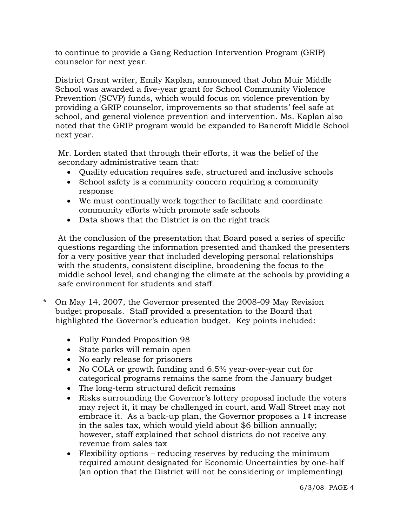to continue to provide a Gang Reduction Intervention Program (GRIP) counselor for next year.

 District Grant writer, Emily Kaplan, announced that John Muir Middle School was awarded a five-year grant for School Community Violence Prevention (SCVP) funds, which would focus on violence prevention by providing a GRIP counselor, improvements so that students' feel safe at school, and general violence prevention and intervention. Ms. Kaplan also noted that the GRIP program would be expanded to Bancroft Middle School next year.

Mr. Lorden stated that through their efforts, it was the belief of the secondary administrative team that:

- Quality education requires safe, structured and inclusive schools
- School safety is a community concern requiring a community response
- We must continually work together to facilitate and coordinate community efforts which promote safe schools
- Data shows that the District is on the right track

 At the conclusion of the presentation that Board posed a series of specific questions regarding the information presented and thanked the presenters for a very positive year that included developing personal relationships with the students, consistent discipline, broadening the focus to the middle school level, and changing the climate at the schools by providing a safe environment for students and staff.

- \* On May 14, 2007, the Governor presented the 2008-09 May Revision budget proposals. Staff provided a presentation to the Board that highlighted the Governor's education budget. Key points included:
	- Fully Funded Proposition 98
	- State parks will remain open
	- No early release for prisoners
	- No COLA or growth funding and 6.5% year-over-year cut for categorical programs remains the same from the January budget
	- The long-term structural deficit remains
	- Risks surrounding the Governor's lottery proposal include the voters may reject it, it may be challenged in court, and Wall Street may not embrace it. As a back-up plan, the Governor proposes a 1¢ increase in the sales tax, which would yield about \$6 billion annually; however, staff explained that school districts do not receive any revenue from sales tax
	- Flexibility options reducing reserves by reducing the minimum required amount designated for Economic Uncertainties by one-half (an option that the District will not be considering or implementing)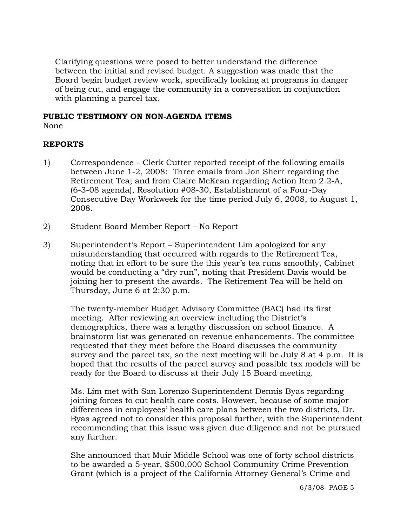Clarifying questions were posed to better understand the difference between the initial and revised budget. A suggestion was made that the Board begin budget review work, specifically looking at programs in danger of being cut, and engage the community in a conversation in conjunction with planning a parcel tax.

### **PUBLIC TESTIMONY ON NON-AGENDA ITEMS**

None

## **REPORTS**

- 1) Correspondence Clerk Cutter reported receipt of the following emails between June 1-2, 2008: Three emails from Jon Sherr regarding the Retirement Tea; and from Claire McKean regarding Action Item 2.2-A, (6-3-08 agenda), Resolution #08-30, Establishment of a Four-Day Consecutive Day Workweek for the time period July 6, 2008, to August 1, 2008.
- 2) Student Board Member Report No Report
- 3) Superintendent's Report Superintendent Lim apologized for any misunderstanding that occurred with regards to the Retirement Tea, noting that in effort to be sure the this year's tea runs smoothly, Cabinet would be conducting a "dry run", noting that President Davis would be joining her to present the awards. The Retirement Tea will be held on Thursday, June 6 at 2:30 p.m.

The twenty-member Budget Advisory Committee (BAC) had its first meeting. After reviewing an overview including the District's demographics, there was a lengthy discussion on school finance. A brainstorm list was generated on revenue enhancements. The committee requested that they meet before the Board discusses the community survey and the parcel tax, so the next meeting will be July 8 at 4 p.m. It is hoped that the results of the parcel survey and possible tax models will be ready for the Board to discuss at their July 15 Board meeting.

Ms. Lim met with San Lorenzo Superintendent Dennis Byas regarding joining forces to cut health care costs. However, because of some major differences in employees' health care plans between the two districts, Dr. Byas agreed not to consider this proposal further, with the Superintendent recommending that this issue was given due diligence and not be pursued any further.

She announced that Muir Middle School was one of forty school districts to be awarded a 5-year, \$500,000 School Community Crime Prevention Grant (which is a project of the California Attorney General's Crime and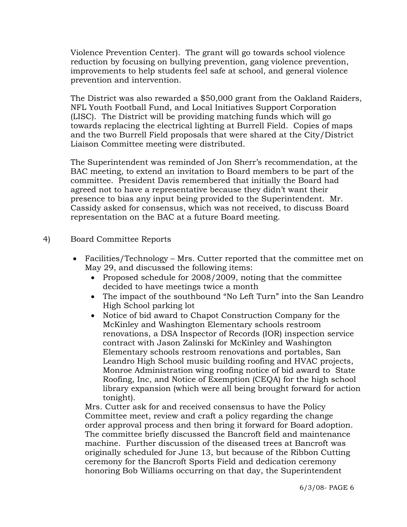Violence Prevention Center). The grant will go towards school violence reduction by focusing on bullying prevention, gang violence prevention, improvements to help students feel safe at school, and general violence prevention and intervention.

The District was also rewarded a \$50,000 grant from the Oakland Raiders, NFL Youth Football Fund, and Local Initiatives Support Corporation (LISC). The District will be providing matching funds which will go towards replacing the electrical lighting at Burrell Field. Copies of maps and the two Burrell Field proposals that were shared at the City/District Liaison Committee meeting were distributed.

The Superintendent was reminded of Jon Sherr's recommendation, at the BAC meeting, to extend an invitation to Board members to be part of the committee. President Davis remembered that initially the Board had agreed not to have a representative because they didn't want their presence to bias any input being provided to the Superintendent. Mr. Cassidy asked for consensus, which was not received, to discuss Board representation on the BAC at a future Board meeting.

## 4) Board Committee Reports

- Facilities/Technology Mrs. Cutter reported that the committee met on May 29, and discussed the following items:
	- Proposed schedule for 2008/2009, noting that the committee decided to have meetings twice a month
	- The impact of the southbound "No Left Turn" into the San Leandro High School parking lot
	- Notice of bid award to Chapot Construction Company for the McKinley and Washington Elementary schools restroom renovations, a DSA Inspector of Records (IOR) inspection service contract with Jason Zalinski for McKinley and Washington Elementary schools restroom renovations and portables, San Leandro High School music building roofing and HVAC projects, Monroe Administration wing roofing notice of bid award to State Roofing, Inc, and Notice of Exemption (CEQA) for the high school library expansion (which were all being brought forward for action tonight).

 Mrs. Cutter ask for and received consensus to have the Policy Committee meet, review and craft a policy regarding the change order approval process and then bring it forward for Board adoption. The committee briefly discussed the Bancroft field and maintenance machine. Further discussion of the diseased trees at Bancroft was originally scheduled for June 13, but because of the Ribbon Cutting ceremony for the Bancroft Sports Field and dedication ceremony honoring Bob Williams occurring on that day, the Superintendent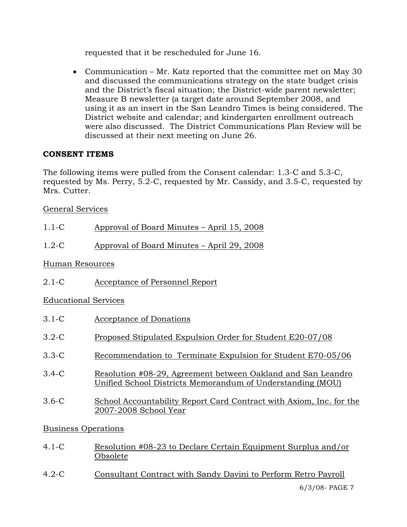requested that it be rescheduled for June 16.

• Communication – Mr. Katz reported that the committee met on May 30 and discussed the communications strategy on the state budget crisis and the District's fiscal situation; the District-wide parent newsletter; Measure B newsletter (a target date around September 2008, and using it as an insert in the San Leandro Times is being considered. The District website and calendar; and kindergarten enrollment outreach were also discussed. The District Communications Plan Review will be discussed at their next meeting on June 26.

# **CONSENT ITEMS**

The following items were pulled from the Consent calendar: 1.3-C and 5.3-C, requested by Ms. Perry, 5.2-C, requested by Mr. Cassidy, and 3.5-C, requested by Mrs. Cutter.

# General Services

| $1.1-C$                                                                                         | Approval of Board Minutes - April 15, 2008                                                                                 |  |
|-------------------------------------------------------------------------------------------------|----------------------------------------------------------------------------------------------------------------------------|--|
| $1.2-C$                                                                                         | Approval of Board Minutes – April 29, 2008                                                                                 |  |
| Human Resources                                                                                 |                                                                                                                            |  |
| $2.1 - C$                                                                                       | Acceptance of Personnel Report                                                                                             |  |
| <b>Educational Services</b>                                                                     |                                                                                                                            |  |
| $3.1-C$                                                                                         | Acceptance of Donations                                                                                                    |  |
| $3.2-C$                                                                                         | Proposed Stipulated Expulsion Order for Student E20-07/08                                                                  |  |
| $3.3-C$                                                                                         | Recommendation to Terminate Expulsion for Student E70-05/06                                                                |  |
| $3.4-C$                                                                                         | Resolution #08-29, Agreement between Oakland and San Leandro<br>Unified School Districts Memorandum of Understanding (MOU) |  |
| $3.6-C$                                                                                         | School Accountability Report Card Contract with Axiom, Inc. for the<br>2007-2008 School Year                               |  |
| $\mathbf{D}_{\text{max}}$ is a set $\mathbf{D}_{\text{max}}$ is a set $\mathbf{D}_{\text{max}}$ |                                                                                                                            |  |

# Business Operations

- 4.1-C Resolution #08-23 to Declare Certain Equipment Surplus and/or Obsolete
- 4.2-C Consultant Contract with Sandy Davini to Perform Retro Payroll

6/3/08- PAGE 7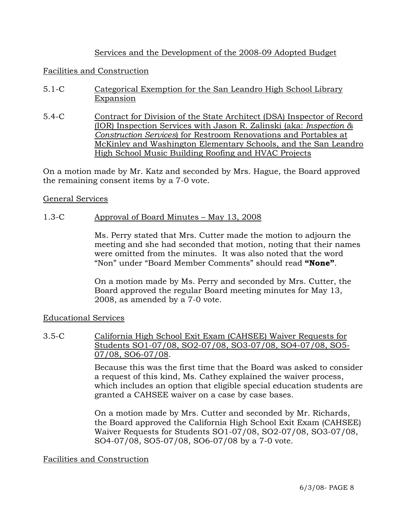## Services and the Development of the 2008-09 Adopted Budget

### Facilities and Construction

- 5.1-C Categorical Exemption for the San Leandro High School Library Expansion
- 5.4-C Contract for Division of the State Architect (DSA) Inspector of Record (IOR) Inspection Services with Jason R. Zalinski (aka: *Inspection & Construction Services*) for Restroom Renovations and Portables at McKinley and Washington Elementary Schools, and the San Leandro High School Music Building Roofing and HVAC Projects

On a motion made by Mr. Katz and seconded by Mrs. Hague, the Board approved the remaining consent items by a 7-0 vote.

#### General Services

### 1.3-C Approval of Board Minutes – May 13, 2008

Ms. Perry stated that Mrs. Cutter made the motion to adjourn the meeting and she had seconded that motion, noting that their names were omitted from the minutes. It was also noted that the word "Non" under "Board Member Comments" should read **"None"**.

On a motion made by Ms. Perry and seconded by Mrs. Cutter, the Board approved the regular Board meeting minutes for May 13, 2008, as amended by a 7-0 vote.

### Educational Services

### 3.5-C California High School Exit Exam (CAHSEE) Waiver Requests for Students SO1-07/08, SO2-07/08, SO3-07/08, SO4-07/08, SO5- 07/08, SO6-07/08.

Because this was the first time that the Board was asked to consider a request of this kind, Ms. Cathey explained the waiver process, which includes an option that eligible special education students are granted a CAHSEE waiver on a case by case bases.

On a motion made by Mrs. Cutter and seconded by Mr. Richards, the Board approved the California High School Exit Exam (CAHSEE) Waiver Requests for Students SO1-07/08, SO2-07/08, SO3-07/08, SO4-07/08, SO5-07/08, SO6-07/08 by a 7-0 vote.

### Facilities and Construction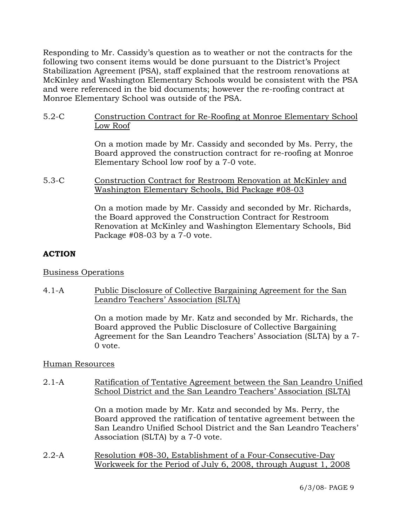Responding to Mr. Cassidy's question as to weather or not the contracts for the following two consent items would be done pursuant to the District's Project Stabilization Agreement (PSA), staff explained that the restroom renovations at McKinley and Washington Elementary Schools would be consistent with the PSA and were referenced in the bid documents; however the re-roofing contract at Monroe Elementary School was outside of the PSA.

5.2-C Construction Contract for Re-Roofing at Monroe Elementary School Low Roof

> On a motion made by Mr. Cassidy and seconded by Ms. Perry, the Board approved the construction contract for re-roofing at Monroe Elementary School low roof by a 7-0 vote.

5.3-C Construction Contract for Restroom Renovation at McKinley and Washington Elementary Schools, Bid Package #08-03

> On a motion made by Mr. Cassidy and seconded by Mr. Richards, the Board approved the Construction Contract for Restroom Renovation at McKinley and Washington Elementary Schools, Bid Package #08-03 by a 7-0 vote.

# **ACTION**

## Business Operations

4.1-A Public Disclosure of Collective Bargaining Agreement for the San Leandro Teachers' Association (SLTA)

> On a motion made by Mr. Katz and seconded by Mr. Richards, the Board approved the Public Disclosure of Collective Bargaining Agreement for the San Leandro Teachers' Association (SLTA) by a 7- 0 vote.

## Human Resources

2.1-A Ratification of Tentative Agreement between the San Leandro Unified School District and the San Leandro Teachers' Association (SLTA)

> On a motion made by Mr. Katz and seconded by Ms. Perry, the Board approved the ratification of tentative agreement between the San Leandro Unified School District and the San Leandro Teachers' Association (SLTA) by a 7-0 vote.

2.2-A Resolution #08-30, Establishment of a Four-Consecutive-Day Workweek for the Period of July 6, 2008, through August 1, 2008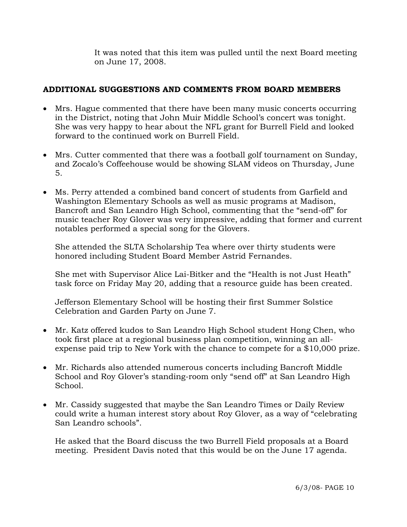It was noted that this item was pulled until the next Board meeting on June 17, 2008.

# **ADDITIONAL SUGGESTIONS AND COMMENTS FROM BOARD MEMBERS**

- Mrs. Hague commented that there have been many music concerts occurring in the District, noting that John Muir Middle School's concert was tonight. She was very happy to hear about the NFL grant for Burrell Field and looked forward to the continued work on Burrell Field.
- Mrs. Cutter commented that there was a football golf tournament on Sunday, and Zocalo's Coffeehouse would be showing SLAM videos on Thursday, June 5.
- Ms. Perry attended a combined band concert of students from Garfield and Washington Elementary Schools as well as music programs at Madison, Bancroft and San Leandro High School, commenting that the "send-off" for music teacher Roy Glover was very impressive, adding that former and current notables performed a special song for the Glovers.

She attended the SLTA Scholarship Tea where over thirty students were honored including Student Board Member Astrid Fernandes.

She met with Supervisor Alice Lai-Bitker and the "Health is not Just Heath" task force on Friday May 20, adding that a resource guide has been created.

Jefferson Elementary School will be hosting their first Summer Solstice Celebration and Garden Party on June 7.

- Mr. Katz offered kudos to San Leandro High School student Hong Chen, who took first place at a regional business plan competition, winning an allexpense paid trip to New York with the chance to compete for a \$10,000 prize.
- Mr. Richards also attended numerous concerts including Bancroft Middle School and Roy Glover's standing-room only "send off" at San Leandro High School.
- Mr. Cassidy suggested that maybe the San Leandro Times or Daily Review could write a human interest story about Roy Glover, as a way of "celebrating San Leandro schools".

He asked that the Board discuss the two Burrell Field proposals at a Board meeting. President Davis noted that this would be on the June 17 agenda.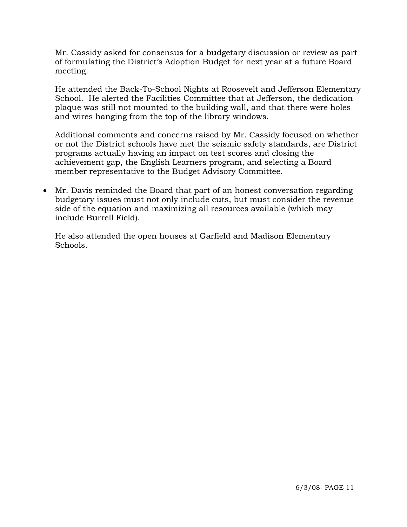Mr. Cassidy asked for consensus for a budgetary discussion or review as part of formulating the District's Adoption Budget for next year at a future Board meeting.

He attended the Back-To-School Nights at Roosevelt and Jefferson Elementary School. He alerted the Facilities Committee that at Jefferson, the dedication plaque was still not mounted to the building wall, and that there were holes and wires hanging from the top of the library windows.

Additional comments and concerns raised by Mr. Cassidy focused on whether or not the District schools have met the seismic safety standards, are District programs actually having an impact on test scores and closing the achievement gap, the English Learners program, and selecting a Board member representative to the Budget Advisory Committee.

• Mr. Davis reminded the Board that part of an honest conversation regarding budgetary issues must not only include cuts, but must consider the revenue side of the equation and maximizing all resources available (which may include Burrell Field).

He also attended the open houses at Garfield and Madison Elementary Schools.